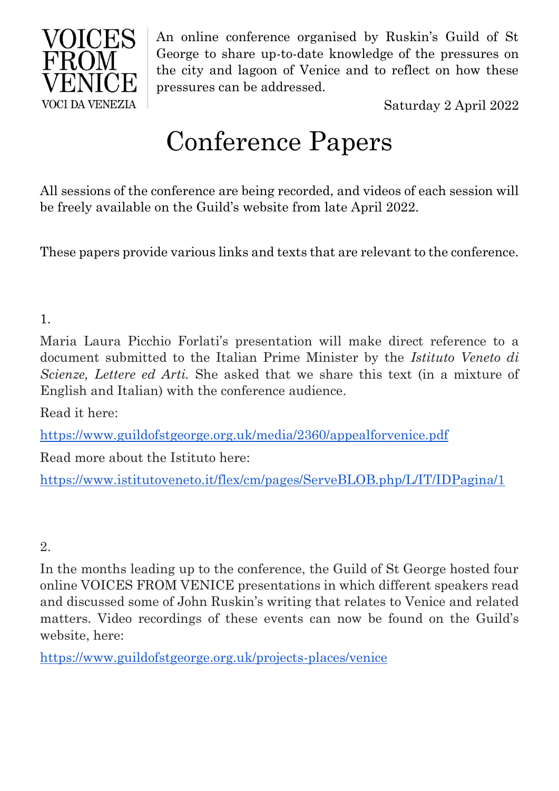

An online conference organised by Ruskin's Guild of St George to share up-to-date knowledge of the pressures on the city and lagoon of Venice and to reflect on how these pressures can be addressed.

Saturday 2 April 2022

# Conference Papers

All sessions of the conference are being recorded, and videos of each session will be freely available on the Guild's website from late April 2022.

These papers provide various links and texts that are relevant to the conference.

1.

Maria Laura Picchio Forlati's presentation will make direct reference to a document submitted to the Italian Prime Minister by the *Istituto Veneto di Scienze, Lettere ed Arti.* She asked that we share this text (in a mixture of English and Italian) with the conference audience.

Read it here:

<https://www.guildofstgeorge.org.uk/media/2360/appealforvenice.pdf>

Read more about the Istituto here:

<https://www.istitutoveneto.it/flex/cm/pages/ServeBLOB.php/L/IT/IDPagina/1>

2.

In the months leading up to the conference, the Guild of St George hosted four online VOICES FROM VENICE presentations in which different speakers read and discussed some of John Ruskin's writing that relates to Venice and related matters. Video recordings of these events can now be found on the Guild's website, here:

<https://www.guildofstgeorge.org.uk/projects-places/venice>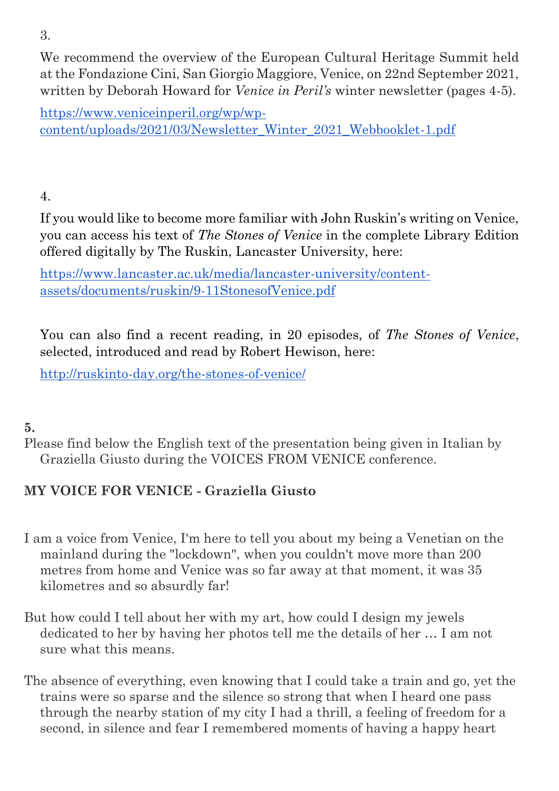3.

We recommend the overview of the European Cultural Heritage Summit held at the Fondazione Cini, San Giorgio Maggiore, Venice, on 22nd September 2021, written by Deborah Howard for *Venice in Peril's* winter newsletter (pages 4-5).

[https://www.veniceinperil.org/wp/wp](https://www.veniceinperil.org/wp/wp-content/uploads/2021/03/Newsletter_Winter_2021_Webbooklet-1.pdf)[content/uploads/2021/03/Newsletter\\_Winter\\_2021\\_Webbooklet-1.pdf](https://www.veniceinperil.org/wp/wp-content/uploads/2021/03/Newsletter_Winter_2021_Webbooklet-1.pdf)

# 4.

If you would like to become more familiar with John Ruskin's writing on Venice, you can access his text of *The Stones of Venice* in the complete Library Edition offered digitally by The Ruskin, Lancaster University, here:

[https://www.lancaster.ac.uk/media/lancaster-university/content](https://www.lancaster.ac.uk/media/lancaster-university/content-assets/documents/ruskin/9-11StonesofVenice.pdf)[assets/documents/ruskin/9-11StonesofVenice.pdf](https://www.lancaster.ac.uk/media/lancaster-university/content-assets/documents/ruskin/9-11StonesofVenice.pdf)

You can also find a recent reading, in 20 episodes, of *The Stones of Venice*, selected, introduced and read by Robert Hewison, here:

<http://ruskinto-day.org/the-stones-of-venice/>

### **5.**

Please find below the English text of the presentation being given in Italian by Graziella Giusto during the VOICES FROM VENICE conference.

### **MY VOICE FOR VENICE - Graziella Giusto**

- I am a voice from Venice, I'm here to tell you about my being a Venetian on the mainland during the "lockdown", when you couldn't move more than 200 metres from home and Venice was so far away at that moment, it was 35 kilometres and so absurdly far!
- But how could I tell about her with my art, how could I design my jewels dedicated to her by having her photos tell me the details of her … I am not sure what this means.
- The absence of everything, even knowing that I could take a train and go, yet the trains were so sparse and the silence so strong that when I heard one pass through the nearby station of my city I had a thrill, a feeling of freedom for a second, in silence and fear I remembered moments of having a happy heart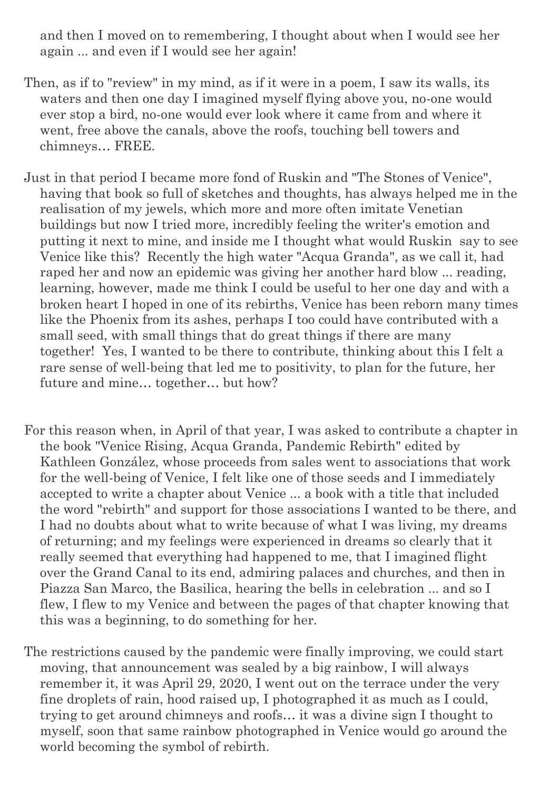and then I moved on to remembering, I thought about when I would see her again ... and even if I would see her again!

- Then, as if to "review" in my mind, as if it were in a poem, I saw its walls, its waters and then one day I imagined myself flying above you, no-one would ever stop a bird, no-one would ever look where it came from and where it went, free above the canals, above the roofs, touching bell towers and chimneys… FREE.
- Just in that period I became more fond of Ruskin and "The Stones of Venice", having that book so full of sketches and thoughts, has always helped me in the realisation of my jewels, which more and more often imitate Venetian buildings but now I tried more, incredibly feeling the writer's emotion and putting it next to mine, and inside me I thought what would Ruskin say to see Venice like this? Recently the high water "Acqua Granda", as we call it, had raped her and now an epidemic was giving her another hard blow ... reading, learning, however, made me think I could be useful to her one day and with a broken heart I hoped in one of its rebirths, Venice has been reborn many times like the Phoenix from its ashes, perhaps I too could have contributed with a small seed, with small things that do great things if there are many together! Yes, I wanted to be there to contribute, thinking about this I felt a rare sense of well-being that led me to positivity, to plan for the future, her future and mine… together… but how?
- For this reason when, in April of that year, I was asked to contribute a chapter in the book "Venice Rising, Acqua Granda, Pandemic Rebirth" edited by Kathleen González, whose proceeds from sales went to associations that work for the well-being of Venice, I felt like one of those seeds and I immediately accepted to write a chapter about Venice ... a book with a title that included the word "rebirth" and support for those associations I wanted to be there, and I had no doubts about what to write because of what I was living, my dreams of returning; and my feelings were experienced in dreams so clearly that it really seemed that everything had happened to me, that I imagined flight over the Grand Canal to its end, admiring palaces and churches, and then in Piazza San Marco, the Basilica, hearing the bells in celebration ... and so I flew, I flew to my Venice and between the pages of that chapter knowing that this was a beginning, to do something for her.
- The restrictions caused by the pandemic were finally improving, we could start moving, that announcement was sealed by a big rainbow, I will always remember it, it was April 29, 2020, I went out on the terrace under the very fine droplets of rain, hood raised up, I photographed it as much as I could, trying to get around chimneys and roofs… it was a divine sign I thought to myself, soon that same rainbow photographed in Venice would go around the world becoming the symbol of rebirth.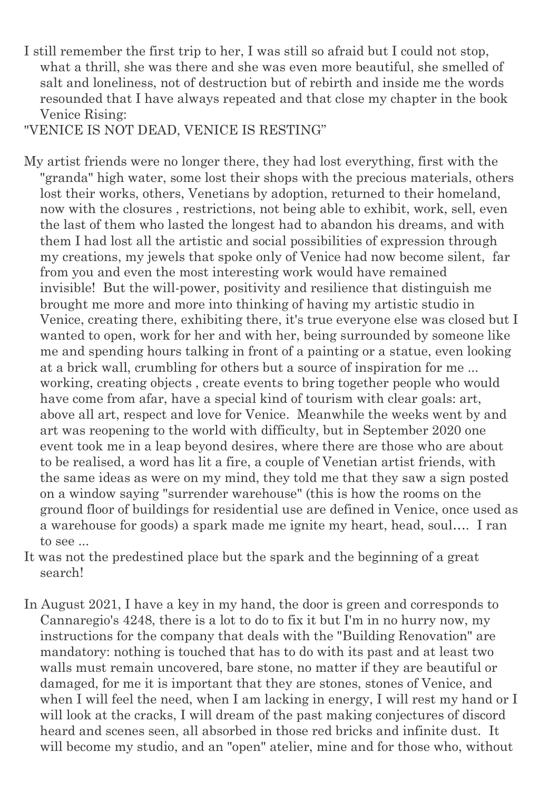I still remember the first trip to her, I was still so afraid but I could not stop, what a thrill, she was there and she was even more beautiful, she smelled of salt and loneliness, not of destruction but of rebirth and inside me the words resounded that I have always repeated and that close my chapter in the book Venice Rising:

"VENICE IS NOT DEAD, VENICE IS RESTING"

- My artist friends were no longer there, they had lost everything, first with the "granda" high water, some lost their shops with the precious materials, others lost their works, others, Venetians by adoption, returned to their homeland, now with the closures , restrictions, not being able to exhibit, work, sell, even the last of them who lasted the longest had to abandon his dreams, and with them I had lost all the artistic and social possibilities of expression through my creations, my jewels that spoke only of Venice had now become silent, far from you and even the most interesting work would have remained invisible! But the will-power, positivity and resilience that distinguish me brought me more and more into thinking of having my artistic studio in Venice, creating there, exhibiting there, it's true everyone else was closed but I wanted to open, work for her and with her, being surrounded by someone like me and spending hours talking in front of a painting or a statue, even looking at a brick wall, crumbling for others but a source of inspiration for me ... working, creating objects , create events to bring together people who would have come from afar, have a special kind of tourism with clear goals: art, above all art, respect and love for Venice. Meanwhile the weeks went by and art was reopening to the world with difficulty, but in September 2020 one event took me in a leap beyond desires, where there are those who are about to be realised, a word has lit a fire, a couple of Venetian artist friends, with the same ideas as were on my mind, they told me that they saw a sign posted on a window saying "surrender warehouse" (this is how the rooms on the ground floor of buildings for residential use are defined in Venice, once used as a warehouse for goods) a spark made me ignite my heart, head, soul…. I ran to see ...
- It was not the predestined place but the spark and the beginning of a great search!
- In August 2021, I have a key in my hand, the door is green and corresponds to Cannaregio's 4248, there is a lot to do to fix it but I'm in no hurry now, my instructions for the company that deals with the "Building Renovation" are mandatory: nothing is touched that has to do with its past and at least two walls must remain uncovered, bare stone, no matter if they are beautiful or damaged, for me it is important that they are stones, stones of Venice, and when I will feel the need, when I am lacking in energy, I will rest my hand or I will look at the cracks, I will dream of the past making conjectures of discord heard and scenes seen, all absorbed in those red bricks and infinite dust. It will become my studio, and an "open" atelier, mine and for those who, without